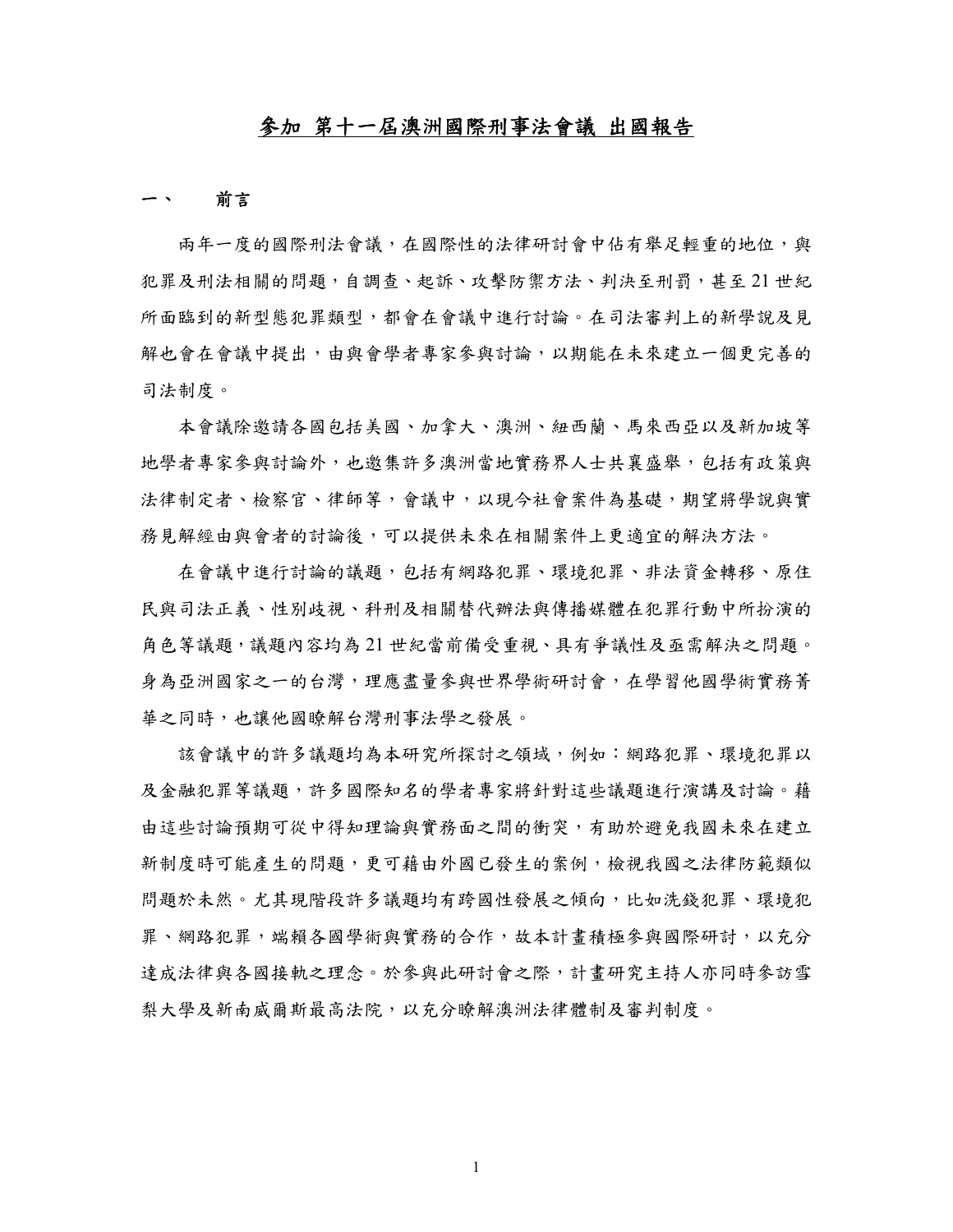## 參加 第十一屆澳洲國際刑事法會議 出國報告

#### 一、 前言

兩年一度的國際刑法會議,在國際性的法律研討會中佔有舉足輕重的地位,與 犯罪及刑法相關的問題,自調查、起訴、攻擊防禦方法、判決至刑罰,甚至 21 世紀 所面臨到的新型態犯罪類型,都會在會議中進行討論。在司法審判上的新學說及見 解也會在會議中提出,由與會學者專家參與討論,以期能在未來建立一個更完善的 司法制度。

本會議除邀請各國包括美國、加拿大、澳洲、紐西蘭、馬來西亞以及新加坡等 地學者專家參與討論外,也邀集許多澳洲當地實務界人士共襄盛舉,包括有政策與 法律制定者、檢察官、律師等,會議中,以現今社會案件為基礎,期望將學說與實 務見解經由與會者的討論後,可以提供未來在相關案件上更適宜的解決方法。

在會議中進行討論的議題,包括有網路犯罪、環境犯罪、非法資金轉移、原住 民與司法正義、性別歧視、科刑及相關替代辦法與傳播媒體在犯罪行動中所扮演的 角色等議題,議題內容均為 21 世紀當前備受重視、具有爭議性及亟需解決之問題。 身為亞洲國家之一的台灣,理應盡量參與世界學術研討會,在學習他國學術實務菁 華之同時,也讓他國瞭解台灣刑事法學之發展。

該會議中的許多議題均為本研究所探討之領域,例如:網路犯罪、環境犯罪以 及金融犯罪等議題,許多國際知名的學者專家將針對這些議題進行演講及討論。藉 由這些討論預期可從中得知理論與實務面之間的衝突,有助於避免我國未來在建立 新制度時可能產生的問題,更可藉由外國已發生的案例,檢視我國之法律防範類似 問題於未然。尤其現階段許多議題均有跨國性發展之傾向,比如洗錢犯罪、環境犯 罪、網路犯罪,端賴各國學術與實務的合作,故本計畫積極參與國際研討,以充分 達成法律與各國接軌之理念。於參與此研討會之際,計書研究主持人亦同時參訪雪 梨大學及新南威爾斯最高法院,以充分瞭解澳洲法律體制及審判制度。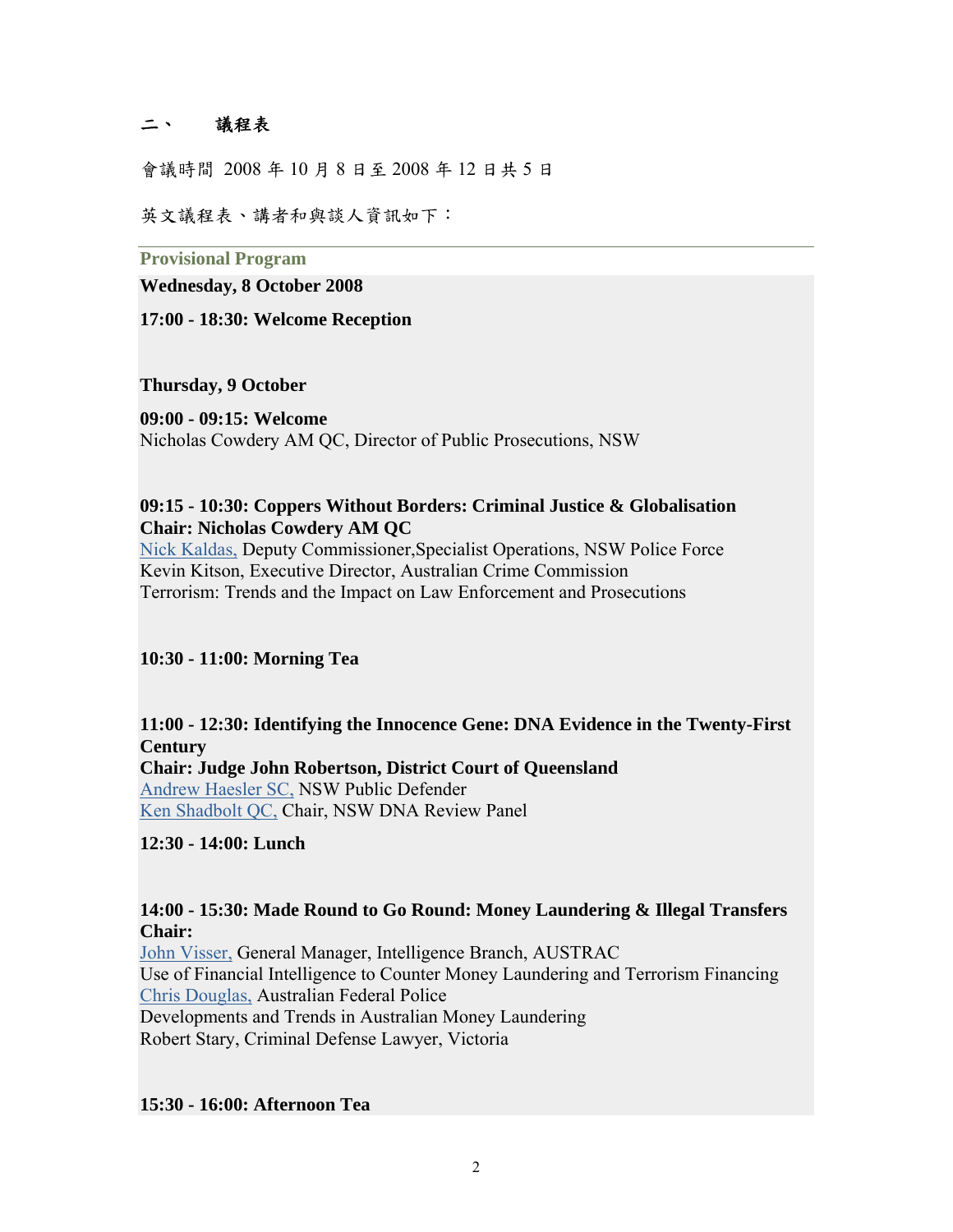# 二、 議程表

會議時間 2008 年 10 月 8 日至 2008 年 12 日共 5 日

英文議程表、講者和與談人資訊如下:

**Provisional Program** 

**Wednesday, 8 October 2008** 

**17:00 - 18:30: Welcome Reception** 

**Thursday, 9 October** 

#### **09:00 - 09:15: Welcome**

Nicholas Cowdery AM QC, Director of Public Prosecutions, NSW

### **09:15 - 10:30: Coppers Without Borders: Criminal Justice & Globalisation Chair: Nicholas Cowdery AM QC**

[Nick Kaldas,](http://www.icms.com.au/crimlaw/highlights.asp#DeputyCommissionerNickKaldas#DeputyCommissionerNickKaldas) Deputy Commissioner,Specialist Operations, NSW Police Force Kevin Kitson, Executive Director, Australian Crime Commission Terrorism: Trends and the Impact on Law Enforcement and Prosecutions

**10:30 - 11:00: Morning Tea** 

**11:00 - 12:30: Identifying the Innocence Gene: DNA Evidence in the Twenty-First Century Chair: Judge John Robertson, District Court of Queensland** [Andrew Haesler SC,](http://www.icms.com.au/crimlaw/highlights.asp#AndrewHaeslerSC#AndrewHaeslerSC) NSW Public Defender [Ken Shadbolt QC,](http://www.icms.com.au/crimlaw/highlights.asp#KenShadbolt#KenShadbolt) Chair, NSW DNA Review Panel

# **12:30 - 14:00: Lunch**

### **14:00 - 15:30: Made Round to Go Round: Money Laundering & Illegal Transfers Chair:**

[John Visser,](http://www.icms.com.au/crimlaw/highlights.asp#MrJohnVisser#MrJohnVisser) General Manager, Intelligence Branch, AUSTRAC Use of Financial Intelligence to Counter Money Laundering and Terrorism Financing [Chris Douglas,](http://www.icms.com.au/crimlaw/highlights.asp#ChrisDouglas#ChrisDouglas) Australian Federal Police Developments and Trends in Australian Money Laundering Robert Stary, Criminal Defense Lawyer, Victoria

### **15:30 - 16:00: Afternoon Tea**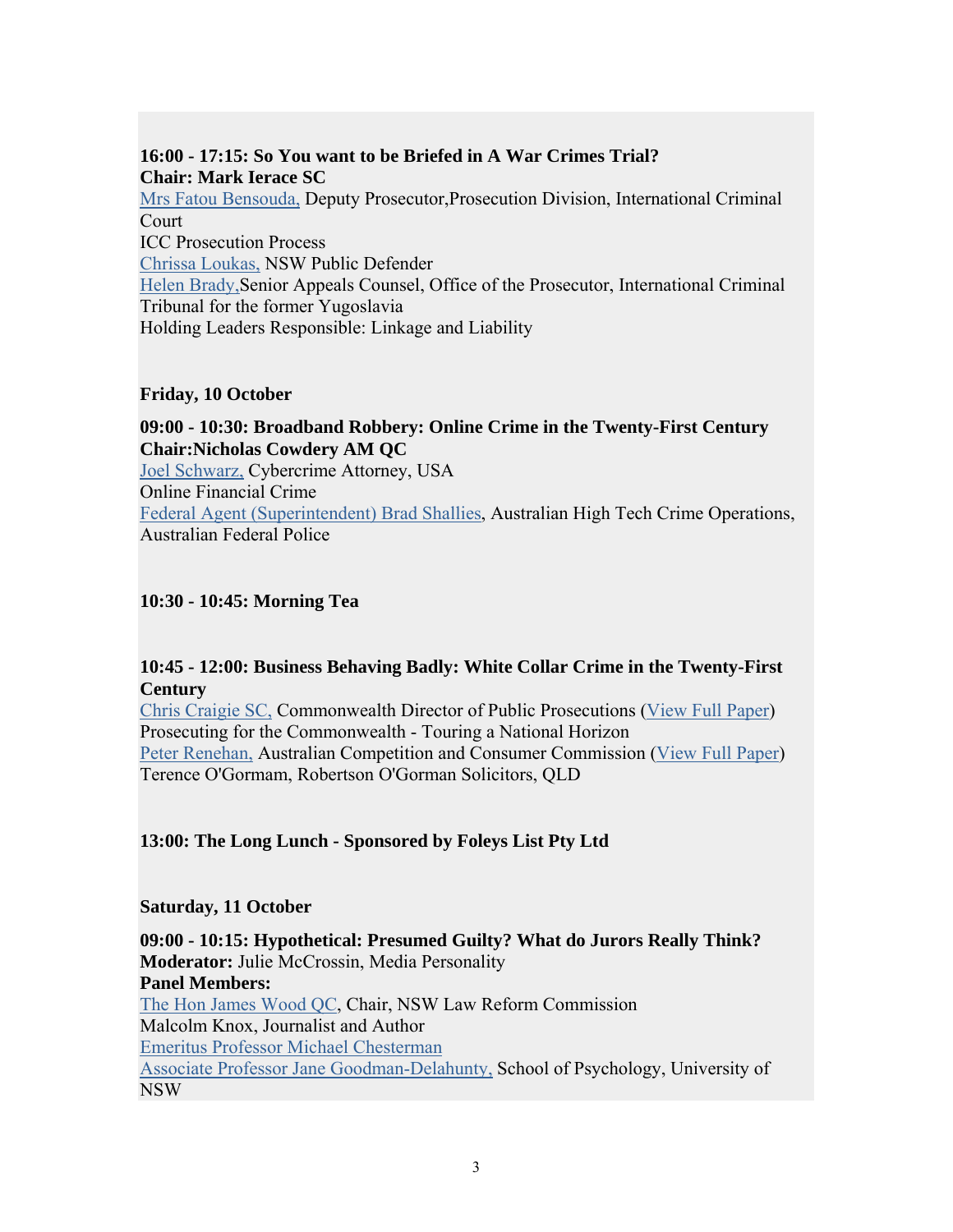# **16:00 - 17:15: So You want to be Briefed in A War Crimes Trial? Chair: Mark Ierace SC**

[Mrs Fatou Bensouda,](http://www.icms.com.au/crimlaw/highlights.asp#MrsFatouBensouda#MrsFatouBensouda) Deputy Prosecutor,Prosecution Division, International Criminal **Court** ICC Prosecution Process [Chrissa Loukas,](http://www.icms.com.au/crimlaw/highlights.asp#ChrissaLoukas#ChrissaLoukas) NSW Public Defender [Helen Brady,S](http://www.icms.com.au/crimlaw/highlights.asp#HelenBrady#HelenBrady)enior Appeals Counsel, Office of the Prosecutor, International Criminal Tribunal for the former Yugoslavia Holding Leaders Responsible: Linkage and Liability

### **Friday, 10 October**

**09:00 - 10:30: Broadband Robbery: Online Crime in the Twenty-First Century Chair:Nicholas Cowdery AM QC** [Joel Schwarz,](http://www.icms.com.au/crimlaw/highlights.asp#JoelSchwarz#JoelSchwarz) Cybercrime Attorney, USA Online Financial Crime [Federal Agent \(Superintendent\) Brad Shallies](http://www.icms.com.au/crimlaw/highlights.asp#FederalAgentSuperintendentBradShallies#FederalAgentSuperintendentBradShallies), Australian High Tech Crime Operations, Australian Federal Police

# **10:30 - 10:45: Morning Tea**

# **10:45 - 12:00: Business Behaving Badly: White Collar Crime in the Twenty-First Century**

[Chris Craigie SC,](http://www.icms.com.au/crimlaw/highlights.asp#ChrisCraigieSC#ChrisCraigieSC) Commonwealth Director of Public Prosecutions ([View Full Paper](http://www.icms.com.au/crimlaw/WhiteCollar.doc)) Prosecuting for the Commonwealth - Touring a National Horizon [Peter Renehan,](http://www.icms.com.au/crimlaw/highlights.asp#PeterRenehan#PeterRenehan) Australian Competition and Consumer Commission ([View Full Paper\)](http://www.icms.com.au/crimlaw/Cartels.doc) Terence O'Gormam, Robertson O'Gorman Solicitors, QLD

# **13:00: The Long Lunch - Sponsored by Foleys List Pty Ltd**

# **Saturday, 11 October**

**09:00 - 10:15: Hypothetical: Presumed Guilty? What do Jurors Really Think? Moderator:** Julie McCrossin, Media Personality **Panel Members:** [The Hon James Wood QC,](http://www.icms.com.au/crimlaw/highlights.asp#TheHonJamesWoodAOQC#TheHonJamesWoodAOQC) Chair, NSW Law Reform Commission Malcolm Knox, Journalist and Author [Emeritus Professor Michael Chesterman](http://www.icms.com.au/crimlaw/highlights.asp#EmeritusProfessorMichaelChesterman#EmeritusProfessorMichaelChesterman) [Associate Professor Jane Goodman-Delahunty,](http://www.icms.com.au/crimlaw/highlights.asp#JaneGoodman-DelahuntyJDPhDMAPS#JaneGoodman-DelahuntyJDPhDMAPS) School of Psychology, University of NSW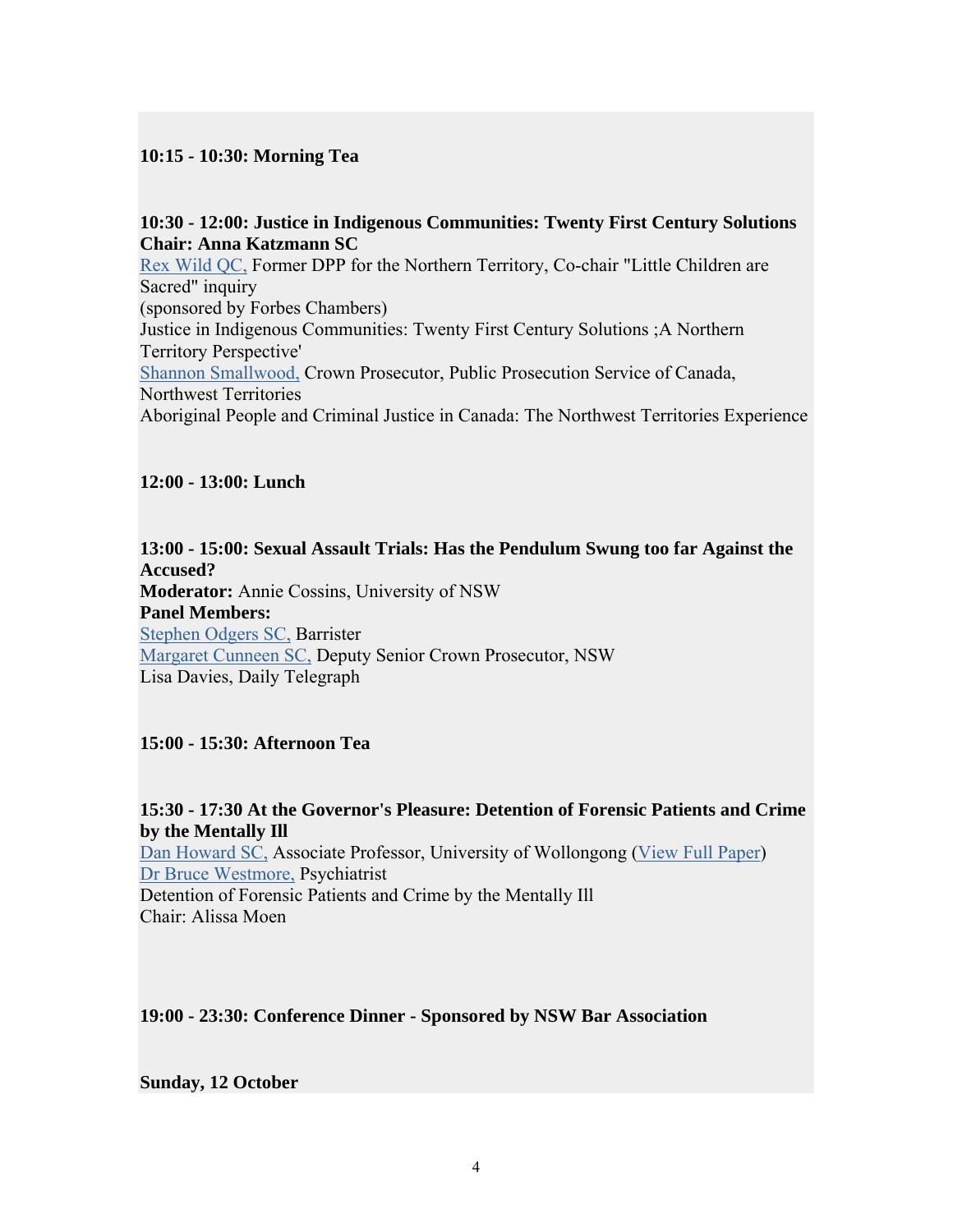### **10:15 - 10:30: Morning Tea**

### **10:30 - 12:00: Justice in Indigenous Communities: Twenty First Century Solutions Chair: Anna Katzmann SC**

[Rex Wild QC,](http://www.icms.com.au/crimlaw/highlights.asp#MrRexWild#MrRexWild) Former DPP for the Northern Territory, Co-chair "Little Children are Sacred" inquiry (sponsored by Forbes Chambers) Justice in Indigenous Communities: Twenty First Century Solutions ;A Northern Territory Perspective' [Shannon Smallwood,](http://www.icms.com.au/crimlaw/highlights.asp#ShannonSmallwood#ShannonSmallwood) Crown Prosecutor, Public Prosecution Service of Canada, Northwest Territories Aboriginal People and Criminal Justice in Canada: The Northwest Territories Experience

### **12:00 - 13:00: Lunch**

**13:00 - 15:00: Sexual Assault Trials: Has the Pendulum Swung too far Against the Accused? Moderator:** Annie Cossins, University of NSW **Panel Members:** [Stephen Odgers SC,](http://www.icms.com.au/crimlaw/highlights.asp#StephenJOdgersSC#StephenJOdgersSC) Barrister [Margaret Cunneen SC,](http://www.icms.com.au/crimlaw/highlights.asp#MargaretCunneenSC#MargaretCunneenSC) Deputy Senior Crown Prosecutor, NSW Lisa Davies, Daily Telegraph

**15:00 - 15:30: Afternoon Tea** 

**15:30 - 17:30 At the Governor's Pleasure: Detention of Forensic Patients and Crime by the Mentally Ill** [Dan Howard SC,](http://www.icms.com.au/crimlaw/highlights.asp#AssociateProfessorDanHowardSC#AssociateProfessorDanHowardSC) Associate Professor, University of Wollongong ([View Full Paper\)](http://www.icms.com.au/crimlaw/ForensicPatients.doc) [Dr Bruce Westmore,](http://www.icms.com.au/crimlaw/highlights.asp#DrBruceWestmore#DrBruceWestmore) Psychiatrist Detention of Forensic Patients and Crime by the Mentally Ill Chair: Alissa Moen

**19:00 - 23:30: Conference Dinner - Sponsored by NSW Bar Association** 

**Sunday, 12 October**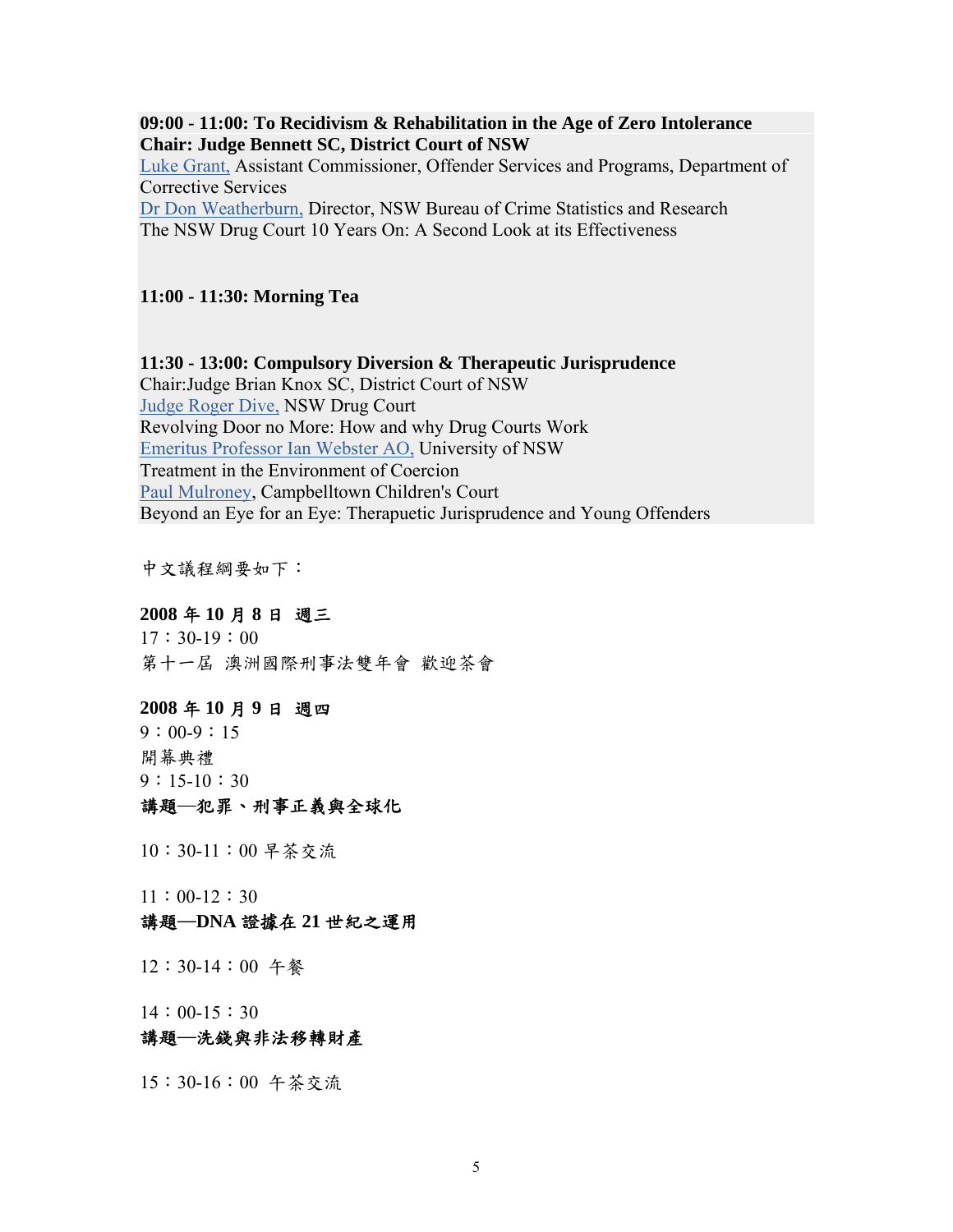**09:00 - 11:00: To Recidivism & Rehabilitation in the Age of Zero Intolerance Chair: Judge Bennett SC, District Court of NSW** [Luke Grant,](http://www.icms.com.au/crimlaw/highlights.asp#LukeGrant#LukeGrant) Assistant Commissioner, Offender Services and Programs, Department of Corrective Services [Dr Don Weatherburn,](http://www.icms.com.au/crimlaw/highlights.asp#DrDonWeatherburn#DrDonWeatherburn) Director, NSW Bureau of Crime Statistics and Research The NSW Drug Court 10 Years On: A Second Look at its Effectiveness

#### **11:00 - 11:30: Morning Tea**

**11:30 - 13:00: Compulsory Diversion & Therapeutic Jurisprudence** Chair:Judge Brian Knox SC, District Court of NSW [Judge Roger Dive,](http://www.icms.com.au/crimlaw/highlights.asp#JudgeRogerDive#JudgeRogerDive) NSW Drug Court Revolving Door no More: How and why Drug Courts Work [Emeritus Professor Ian Webster AO,](http://www.icms.com.au/crimlaw/highlights.asp#EmeritusProfessorIanWebsterAO#EmeritusProfessorIanWebsterAO) University of NSW Treatment in the Environment of Coercion [Paul Mulroney,](http://www.icms.com.au/crimlaw/highlights.asp#PaulMulroney#PaulMulroney) Campbelltown Children's Court Beyond an Eye for an Eye: Therapuetic Jurisprudence and Young Offenders

中文議程綱要如下:

# **2008** 年 **10** 月 **8** 日 週三

17:30-19:00 第十一屆 澳洲國際刑事法雙年會 歡迎茶會

#### **2008** 年 **10** 月 **9** 日 週四

 $9:00-9:15$ 開幕典禮 9:15-10:30

### 講題─犯罪、刑事正義與全球化

10:30-11:00 早茶交流

11:00-12:30

#### 講題─**DNA** 證據在 **21** 世紀之運用

12:30-14:00 午餐

14:00-15:30

### 講題─洗錢與非法移轉財產

15:30-16:00 午茶交流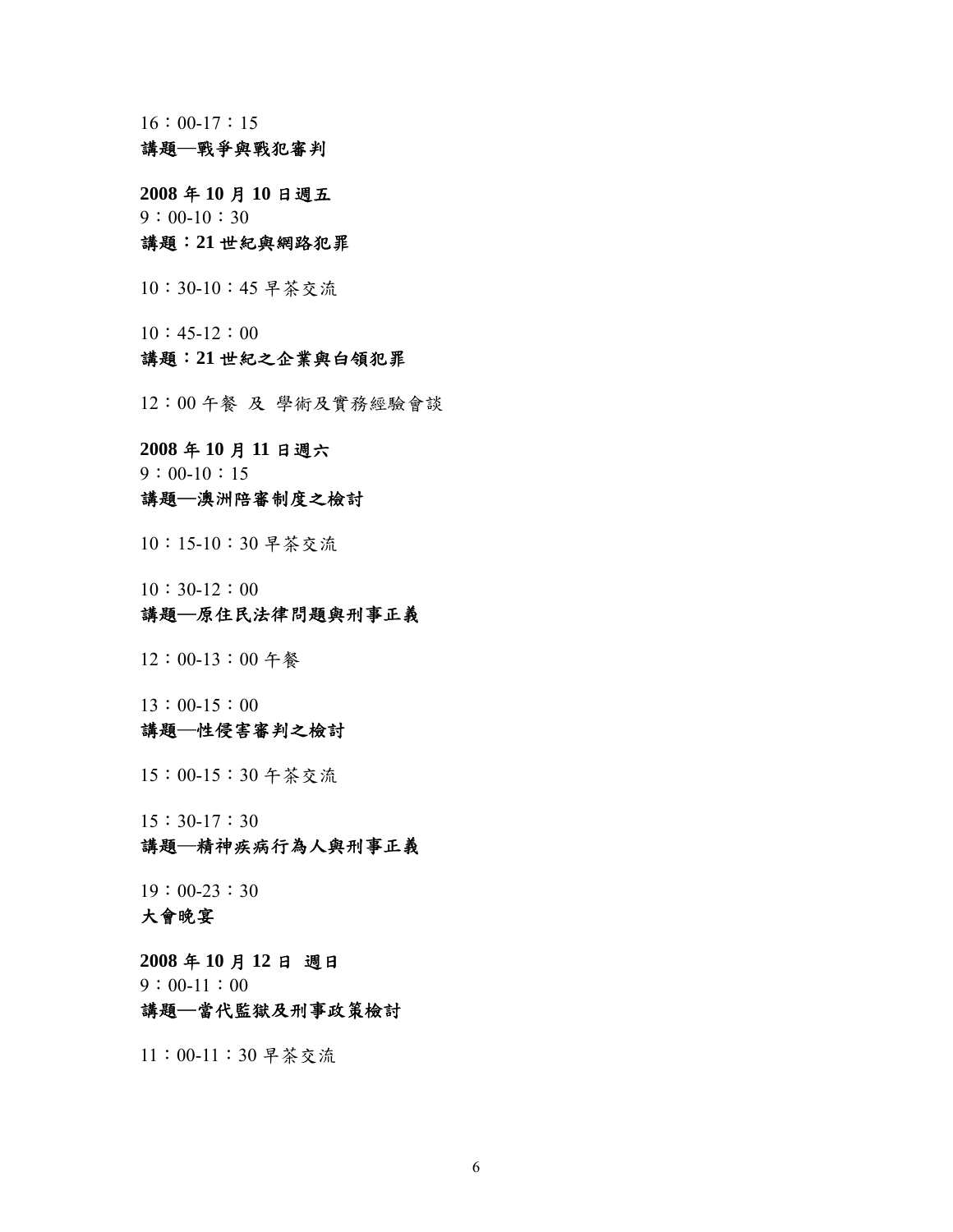$16:00-17:15$ 

### 講題─戰爭與戰犯審判

**2008** 年 **10** 月 **10** 日週五  $9:00-10:30$ 講題:**21** 世紀與網路犯罪

10:30-10:45 早茶交流

 $10:45-12:00$ 

### 講題:**21** 世紀之企業與白領犯罪

12:00 午餐 及 學術及實務經驗會談

**2008** 年 **10** 月 **11** 日週六  $9:00-10:15$ 

#### 講題─澳洲陪審制度之檢討

10:15-10:30 早茶交流

10:30-12:00

#### 講題─原住民法律問題與刑事正義

12:00-13:00 午餐

13:00-15:00

#### 講題─性侵害審判之檢討

15:00-15:30 午茶交流

15:30-17:30

# 講題─精神疾病行為人與刑事正義

19:00-23:30 大會晚宴

**2008** 年 **10** 月 **12** 日 週日  $9:00-11:00$ 

# 講題─當代監獄及刑事政策檢討

11:00-11:30 早茶交流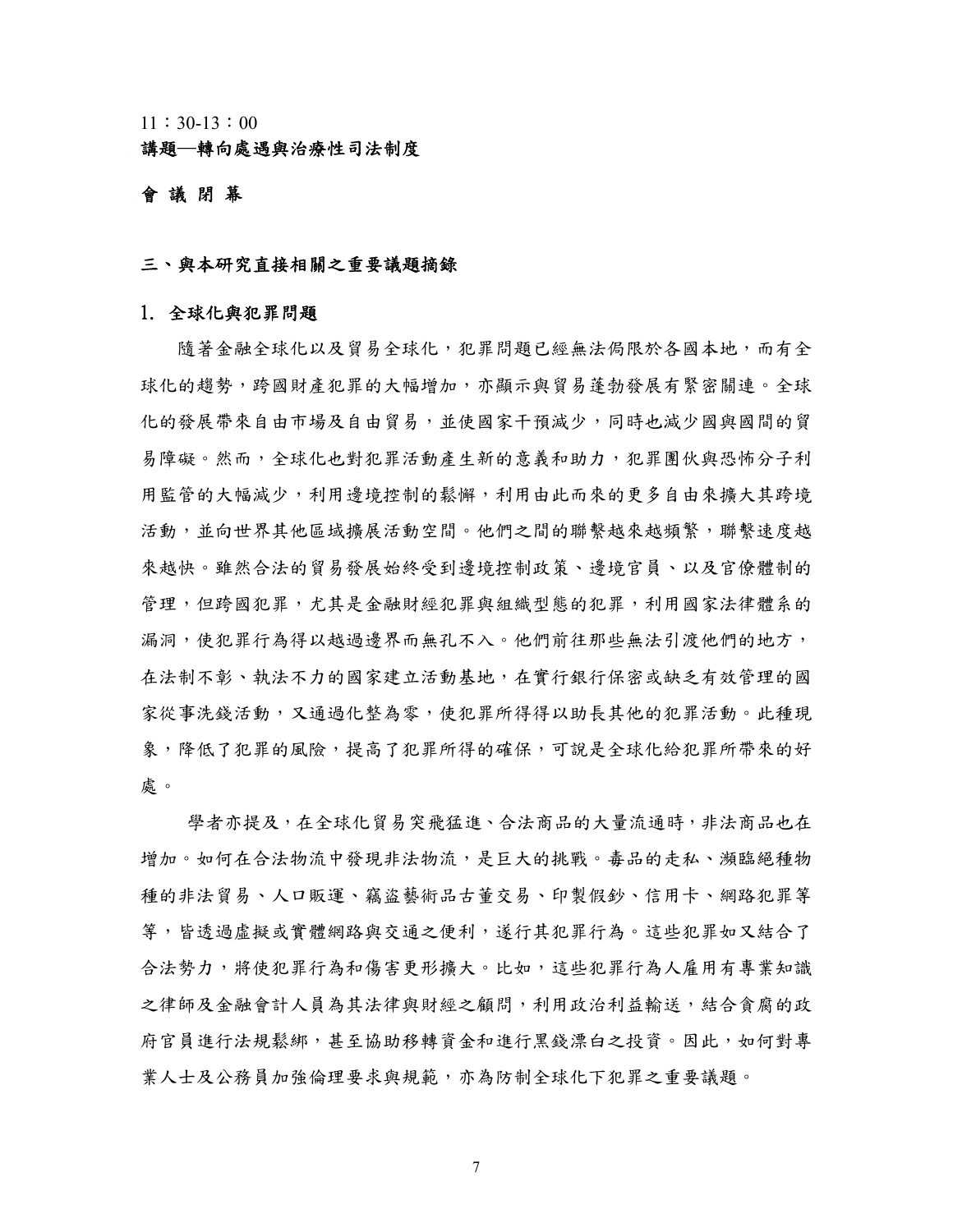11:30-13:00

講題─轉向處遇與治療性司法制度

#### 會 議 閉 幕

#### 三、與本研究直接相關之重要議題摘錄

#### 1. 全球化與犯罪問題

隨著金融全球化以及貿易全球化,犯罪問題已經無法侷限於各國本地,而有全 球化的趨勢,跨國財產犯罪的大幅增加,亦顯示與貿易蓬勃發展有緊密關連。全球 化的發展帶來自由市場及自由貿易,並使國家干預減少,同時也減少國與國間的貿 易障礙。然而,全球化也對犯罪活動產生新的意義和助力,犯罪團伙與恐怖分子利 用監管的大幅減少,利用邊境控制的鬆懈,利用由此而來的更多自由來擴大其跨境 活動,並向世界其他區域擴展活動空間。他們之間的聯繫越來越頻繁,聯繫速度越 來越快。雖然合法的貿易發展始終受到邊境控制政策、邊境官員、以及官僚體制的 管理,但跨國犯罪是金融財經犯罪與組織型態的犯罪,利用國家法律體系的 漏洞,使犯罪行為得以越過邊界而無孔不入。他們前往那些無法引渡他們的地方, 在法制不彰、執法不力的國家建立活動基地,在實行銀行保密或缺乏有效管理的國 家從事洗錢活動,又通過化整為零,使犯罪所得得以助長其他的犯罪活動。此種現 象,降低了犯罪險?犯罪所得的確保,可說是全球化給犯罪所帶來的好 處。

學者亦提及,在全球化貿易突飛猛進、合法商品的大量流通時,非法商品也在 增加。如何在合法物流中發現非法物流,是巨大的挑戰。毒品的走私、瀕臨絕種物 種的非法貿易、人口販運、竊盜藝術品古董交易、印製假鈔、信用卡、網路犯罪等 等,皆透過虛擬或實體網路與交通之便利,遂行其犯罪行為。這些犯罪如又結合了 合法勢力,將使犯罪行為和傷害更形擴大。比如,這些犯罪行為人雇用有專業知識 之律師及金融會計人員為其法律與財經之顧問,利用政治利益輸送,結合貪腐的政 府官員進行法規鬆鄉,甚至協助移轉資金和進行黑錢漂白之投資。因此,如何對專 業人士及公務員加強倫理要求與規範,亦為防制全球化下犯罪之重要議題。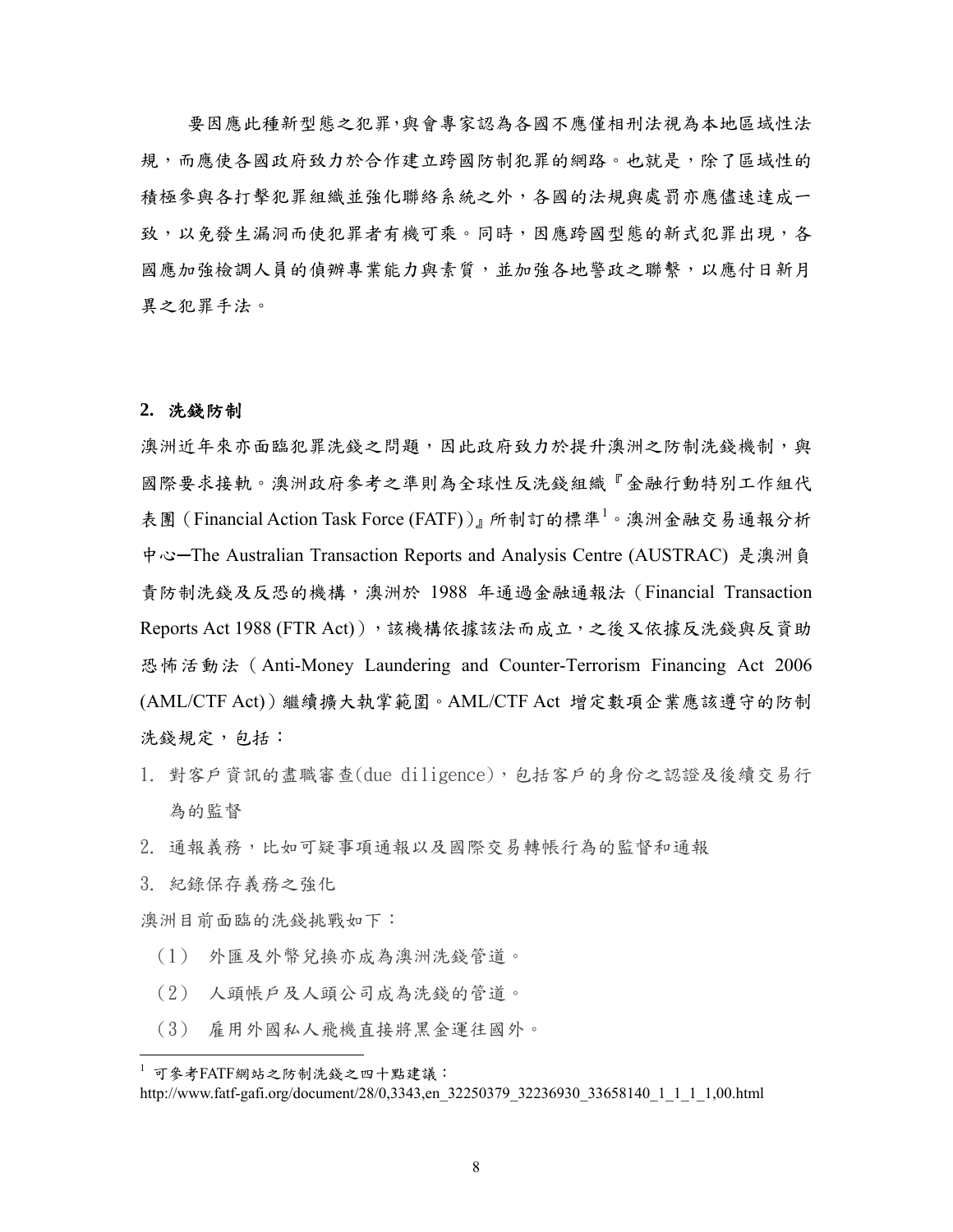要因應此種新型態之犯罪,與會專家認為各國不應僅相刑法視為本地區域性法 規,,而應使各國政府致力於合作建立跨國防制犯罪的網路。也就是,除了區域性的 積極參與各打擊犯罪組織並強化聯絡系統之外,各國的法規與處罰亦應儘速達成一 致,以免發生漏洞而使犯罪者有機可乘。同時,因應跨國型態的新式犯罪出現,各 國應加強檢調人員的偵辦專業能力與素質,並加強各地警政之聯繫,以應付日新月 異之犯罪手法。

#### **2.** 洗錢防制

澳洲近年來亦面臨犯罪洗錢之問題,因此政府致力於提升澳洲之防制洗錢機制,與 國際要求接軌。澳洲政府參考之準則為全球性反洗錢組織『金融行動特別工作組代 表團 ([Financial Action Task Force \(FATF\)](http://www.fatf-gafi.org/pages/0,2987,en_32250379_32235720_1_1_1_1_1,00.html))』所制訂的標準<sup>[1](#page-7-0)</sup>。澳洲金融交易通報分析 中心–The Australian Transaction Reports and Analysis Centre (AUSTRAC) 是澳洲負 責防制洗錢及反恐的機構,澳洲於 1988 年通過金融通報法([Financial Transaction](http://www.austrac.gov.au/ftr_act.html)  [Reports Act 1988](http://www.austrac.gov.au/ftr_act.html) (FTR Act)),該機構依據該法而成立,之後又依據反洗錢與反資助 恐怖活動法([Anti-Money Laundering and Counter-Terrorism Financing Act 2006](http://www.austrac.gov.au/aml_ctf.html) (AML/CTF Act))繼續擴大執掌範圍。AML/CTF Act 增定數項企業應該遵守的防制 洗錢規定,包括:

- 1. 對客戶資訊的盡職審查(due diligence),包括客戶的身份之認證及後續交易行 為的監督
- 2. 通報義務,比如可疑事項通報以及國際交易轉帳行為的監督和通報
- 3. 紀錄保存義務之強化

1

澳洲目前面臨的洗錢挑戰如下:

- (1) 外匯及外幣兌換亦成為澳洲洗錢管道。
- (2) 人頭帳戶及人頭公司成為洗錢的管道。
- (3) 雇用外國私人飛機直接將黑金運往國外。

<span id="page-7-0"></span><sup>1</sup> 可參考FATF網站之防制洗錢之四十點建議:

http://www.fatf-gafi.org/document/28/0,3343,en\_32250379\_32236930\_33658140\_1\_1\_1\_1,00.html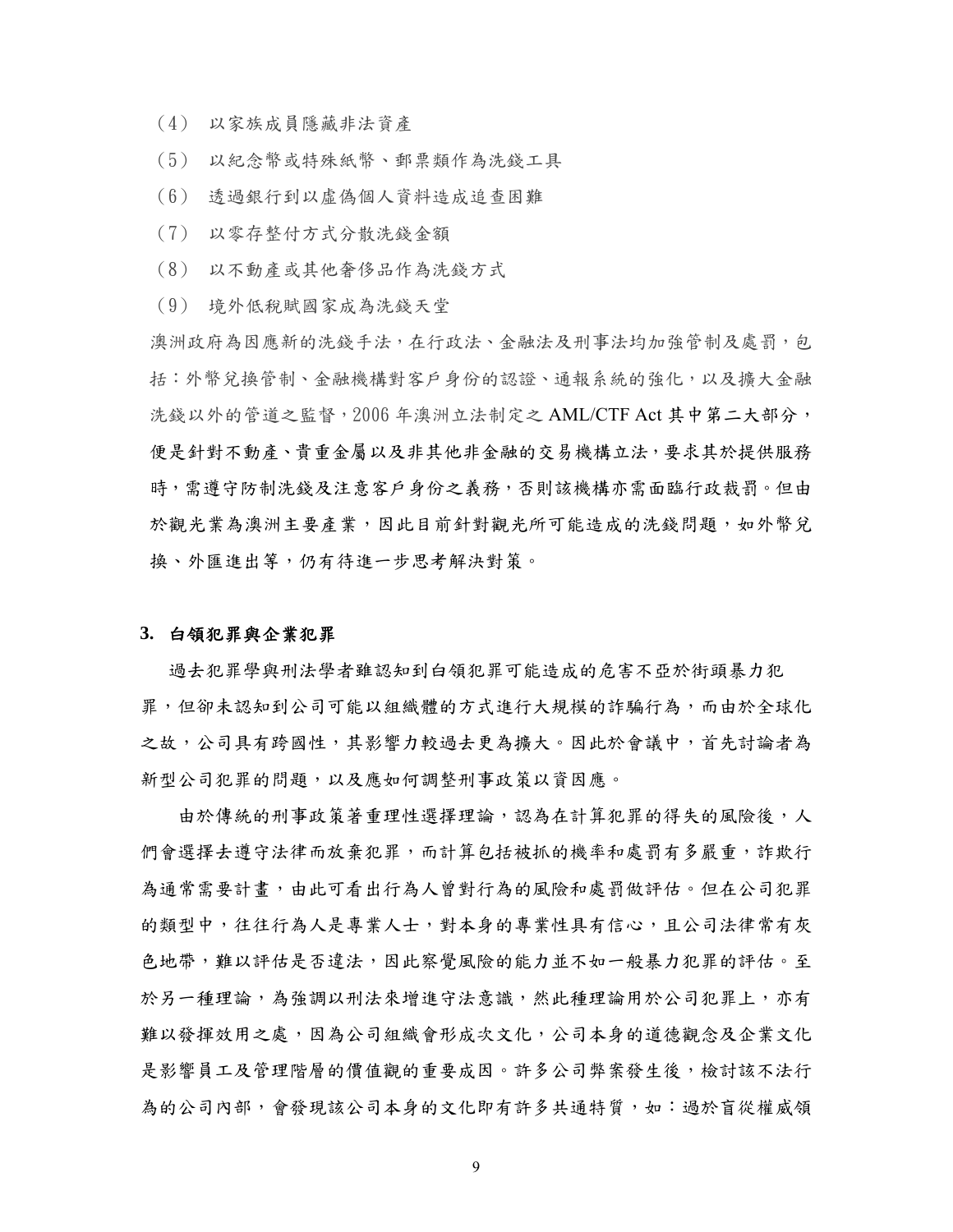- (4) 以家族成員隱藏非法資產
- (5) 以紀念幣或特殊紙幣、郵票類作為洗錢工具
- (6) 透過銀行到以虛偽個人資料造成追查困難
- (7) 以零存整付方式分散洗錢金額
- (8) 以不動產或其他奢侈品作為洗錢方式
- (9) 境外低稅賦國家成為洗錢天堂

澳洲政府為因應新的洗錢手法,在行政法、金融法及刑事法均加強管制及處罰,包 括:外幣兌換管制、金融機構對客戶身份的認證、通報系統的強化,以及擴大金融 洗錢以外的管道之監督, 2006 年澳洲立法制定之 AML/CTF Act 其中第二大部分, 便是針對不動產、貴重金屬以及非其他非金融的交易機構立法,要求其於提供服務 時,需遵守防制洗錢及注意客戶身份之義務,否則該機構亦需面臨行政裁罰。但由 於觀光業為澳洲主要產業,因此目前針對觀光所可能造成的洗錢問題,如外幣兌 換、外匯進出等,仍有待進一步思考解決對策。

#### **3.** 白領犯罪與企業犯罪

過去犯罪學與刑法學者雖認知到白領犯罪可能造成的危害不亞於街頭暴力犯 罪,但卻未認知到公司可能以組織體的方式進行大規模的詐騙行為,而由於全球化 之故,公司具有跨國性,其影響力較過去更為擴大。因此於會議中,首先討論者為 新型公司犯罪的問題,以及應如何調整刑事政策以資因應。

由於傳統的刑事政策著重理性選擇理論,認為在計算犯罪的得失的風險後,人 們會選擇去遵守法律而放棄犯罪,而計算包括被抓的機率和處罰有多嚴重,詐欺行 為通常需要計書,由此可看出行為人曾對行為的風險和處罰做評估。但在公司犯罪 的類型中,往往行為人是專業人士,對本身的專業性具有信心,且公司法律常有灰 色地帶,難以評估是否違法,因此察覺風險的能力並不如一般暴力犯罪的評估。至 於另一種理論,為強調以刑法來增進守法意識,然此種理論用於公司犯罪上,亦有 難以發揮效用之處,因為公司組織會形成次文化,公司本身的道德觀念及企業文化 是影響員工及管理階層的價值觀的重要成因。許多公司弊案發生後,檢討該不法行 為的公司內部,會發現該公司本身的文化即有許多共通特質,如:過於盲從權威領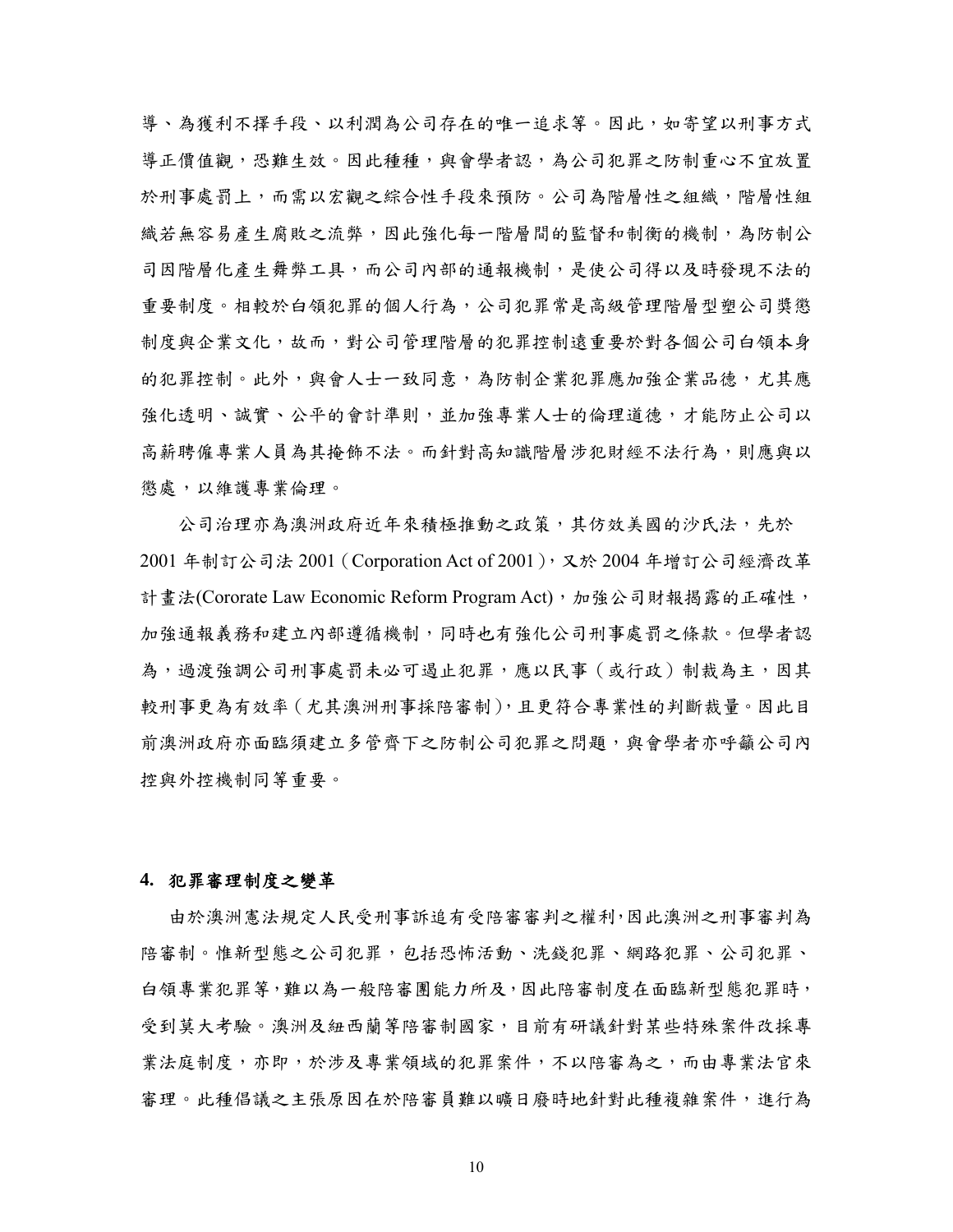導、為獲利不擇手段、以利潤為公司存在的唯一追求等。因此,如寄望以刑事方式 導正價值觀,恐難生效。因此種種,與會學者認,為公司犯罪之防制重心不宜放置 於刑事處罰上,而需以宏觀之綜合性手段來預防。公司為階層性之組織,階層性組 織若無容易產生腐敗之流弊,因此強化每一階層間的監督和制衡的機制,為防制公 司因階層化產生舞弊工具,而公司內部的通報機制,是使公司得以及時發現不法的 重要制度。相較於白領犯罪的個人行為,公司犯罪常是高級管理階層型塑公司獎懲 制度與企業文化,故而,對公司管理階層的犯罪控制遠重要於對各個公司白領本身 的犯罪控制。此外,與會人士一致同意,為防制企業犯罪應加強企業品德,尤其應 強化透明、誠實、公平的會計準則,並加強專業人士的倫理道德,才能防止公司以 高薪聘僱專業人員為其掩飾不法。而針對高知識階層涉犯財經不法行為,則應與以 懲處,以維護專業倫理。

公司治理亦為澳洲政府近年來積極推動之政策,其仿效美國的沙氏法,先於 2001 年制訂公司法 2001(Corporation Act of 2001),又於 2004 年增訂公司經濟改革 計畫法(Cororate Law Economic Reform Program Act),加強公司財報揭露的正確性, 加強通報義務和建立內部遵循機制,同時也有強化公司刑事處罰之條款。但學者認 為,過渡強調公司刑事處罰未必可遏止犯罪,應以民事(或行政)制裁為主,因其 較刑事更為有效率(尤其澳洲刑事採陪審制),且更符合專業性的判斷裁量。因此目 前澳洲政府亦面臨須建立多管齊下之防制公司犯罪之問題,與會學者亦呼籲公司內 控與外控機制同等重要。

#### **4.** 犯罪審理制度之變革

由於澳洲憲法規定人民受刑事訴追有受陪審審判之權利,因此澳洲之刑事審判為 陪審制。惟新型態之公司犯罪,包括恐怖活動、洗錢犯罪、網路犯罪、公司犯罪、 白領專業犯罪等,難以為一般陪審團能力所及,因此陪審制度在面臨新型態犯罪時, 受到莫大考驗。澳洲及紐西蘭等陪審制國家,目前有研議針對某些特殊案件改採專 業法庭制度,亦即,於涉及專業領域的犯罪案件,不以陪審為之,而由專業法官來 審理。此種倡議之主張原因在於陪審員難以曠日廢時地針對此種複雜案件,進行為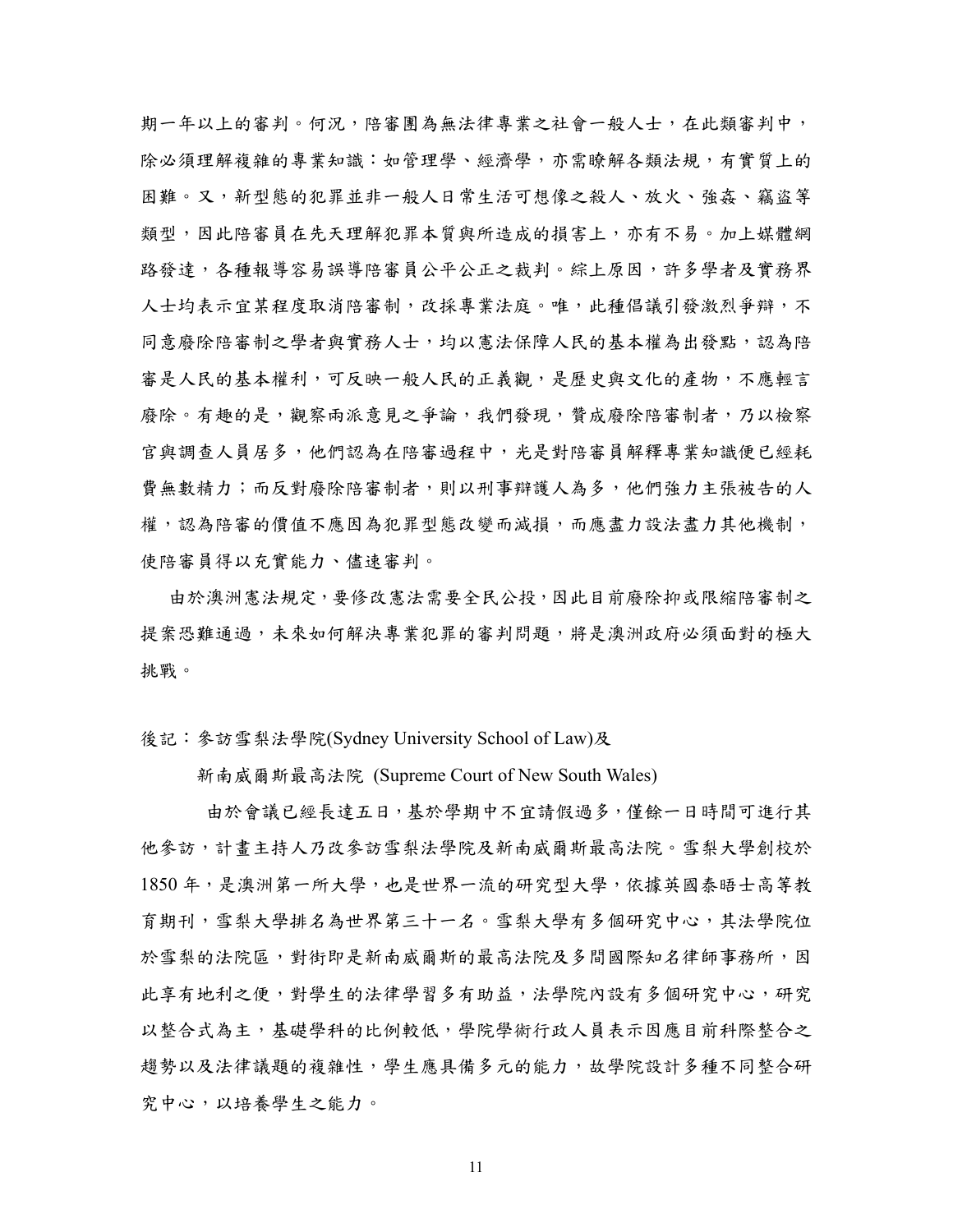期一年以上的審判。何況,陪審團為無法律專業之社會一般人士,在此類審判中, 除必須理解複雜的專業知識: 如管理學、經濟學,亦需瞭解各類法規,有實質上的 困難。又,新型態的犯罪並非一般人日常生活可想像之殺人、放火、強姦、竊盜等 類型,因此陪審員在先天理解犯罪本質與所造成的損害上,亦有不易。加上媒體網 路發達,各種報導容易誤導陪審員公平公正之裁判。綜上原因,許多學者及實務界 人士均表示宜某程度取消陪審制,改採專業法庭。唯,此種倡議引發激烈爭辯,不 同意廢除陪審制之學者與實務人士,均以憲法保障人民的基本權為出發點,認為陪 審是人民的基本權利,可反映一般人民的正義觀,是歷史與文化的產物,不應輕言 廢除。有趣的是,觀察兩派意見之爭論,我們發現,贊成廢除陪審制者,乃以檢察 官與調查人員居多,他們認為在陪審過程中,光是對陪審員解釋專業知識便已經耗 費無數精力;而反對廢除陪審制者,則以刑事辯護人為多,他們強力主張被告的人 權,認為陪審的價值不應因為犯罪型態改變而減損,而應盡力設法盡力其他機制, 使陪審員得以充實能力、儘速審判。

 由於澳洲憲法規定,要修改憲法需要全民公投,因此目前廢除抑或限縮陪審制之 提案恐難通過,未來如何解決專業犯罪的審判問題,將是澳洲政府必須面對的極大 挑戰。

後記:參訪雪梨法學院(Sydney University School of Law)及

新南威爾斯最高法院 (Supreme Court of New South Wales)

 由於會議已經長達五日,基於學期中不宜請假過多,僅餘一日時間可進行其 他參訪,計畫主持人乃改參訪雪梨法學院及新南威爾斯最高法院。雪梨大學創校於 1850 年,是澳洲第一所大學,也是世界一流的研究型大學,依據英國泰晤士高等教 育期刊,雪梨大學和名為世界第三十一名。雪梨大學有多個研究中心,其法學院位 於雪梨的法院區,對街即是新南威爾斯的最高法院及多間國際知名律師事務所,因 此享有地利之便,對學生的法律學習多有助益,法學院內設有多個研究中心,研究 以整合式為主,基礎學科的比例較低,學院學術行政人員表示因應目前科際整合之 趨勢以及法律議題的複雜性,學生應具備多元的能力,故學院設計多種不同整合研 究中心,以培養學生之能力。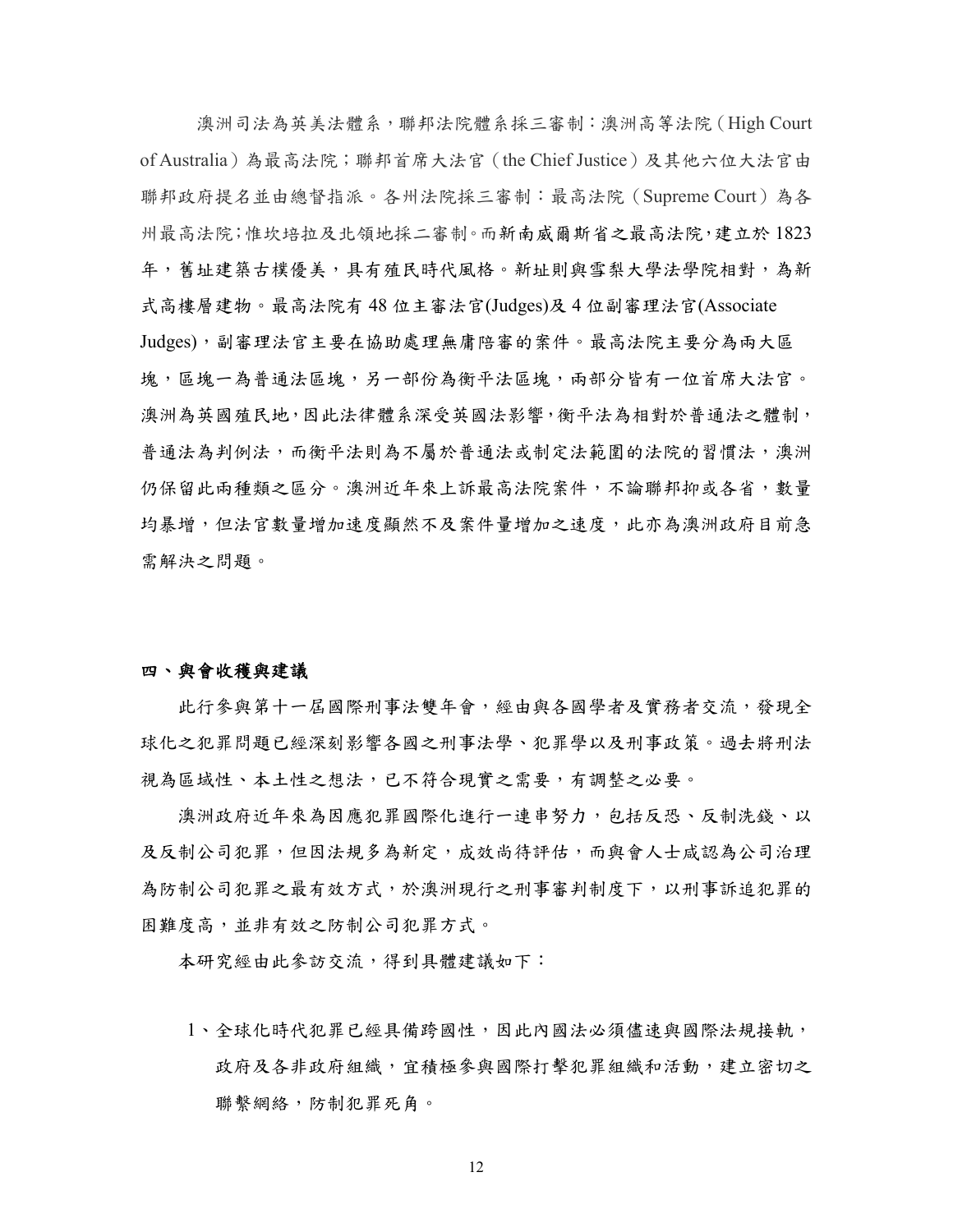澳洲司法為英美法體系,聯邦法院體系採三審制:澳洲高等法院(High Court of Australia)為最高法院;聯邦首席大法官(the Chief Justice)及其他六位大法官由 聯邦政府提名並由總督指派。各州法院採三審制:最高法院(Supreme Court)為各 州最高法院;惟坎培拉及北領地採二審制。而新南威爾斯省之最高法院,建立於 1823 年,舊址建築古樸優美,具有殖民時代風格。新址則與雪梨大學法學院相對,為新 式高樓層建物。最高法院有 48 位主審法官(Judges)及 4 位副審理法官(Associate Judges),副審理法官主要在協助處理無庸陪審的案件。最高法院主要分為兩大區 塊,區塊一為普通法區塊,另一部份為衡平法區塊,兩部分皆有一位首席大法官。 澳洲為英國殖民地,因此法律體系深受英國法影響,衡平法為相對於普通法之體制, 普通法為判例法,而衡平法則為不屬於普通法或制定法範圍的法院的習慣法,澳洲 仍保留此兩種類之區分。澳洲近年來上訴最高法院案件,不論聯邦抑或各省,數量 均暴增,但法官數量增加速度顯然不及案件量增加之速度,此亦為澳洲政府目前急 需解決之問題。

#### 四、與會收穫與建議

此行參與第十一屆際刑事法雙年會,經由與各國學者及實務者交流,發現全 球化之犯罪問題已經深刻影響各國之刑事法學、犯罪學以及刑事政策。過去將刑法 視為區域性、本土性之想法,已不符合現實之需要,有調整之必要。

 澳洲政府近年來為因應犯罪國際化進行一連串努力,包括反恐、反制洗錢、以 及反制公司犯罪,但因法規多為新定,成效尚待評估,而與會人士咸認為公司治理 為防制公司犯罪之最有效方式,於澳洲現行之刑事審判制度下,以刑事訴追犯罪的 困難度高,並非有效之防制公司犯罪方式。

本研究經由此參訪交流,得到具體建議如下:

1、全球化時代犯罪已經具備跨國性,因此內國法必須儘速與國際法規接軌, 政府及各非政府組織,宜積極參與國際打擊犯罪組織和活動,建立密切之 聯繫網絡,防制犯罪死角。